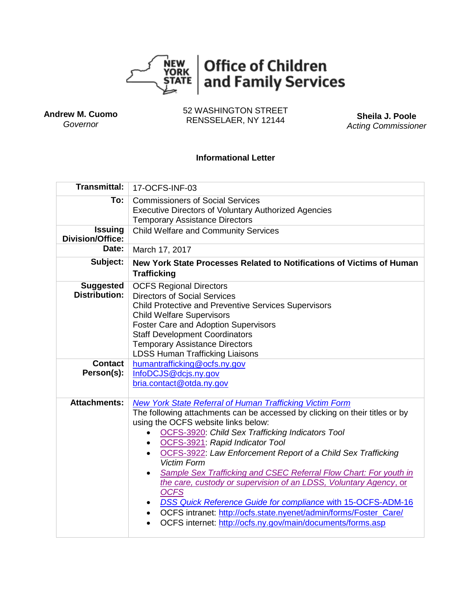

**Andrew M. Cuomo** *Governor*

52 WASHINGTON STREET RENSSELAER, NY 12144 **Sheila J. Poole**

*Acting Commissioner*

# **Informational Letter**

| <b>Transmittal:</b>                       | 17-OCFS-INF-03                                                                                                                                                                                                                                                                                                                                                                                                                                                                                                                                                                                                                                                                                                                                                 |  |  |
|-------------------------------------------|----------------------------------------------------------------------------------------------------------------------------------------------------------------------------------------------------------------------------------------------------------------------------------------------------------------------------------------------------------------------------------------------------------------------------------------------------------------------------------------------------------------------------------------------------------------------------------------------------------------------------------------------------------------------------------------------------------------------------------------------------------------|--|--|
| To:                                       | <b>Commissioners of Social Services</b><br><b>Executive Directors of Voluntary Authorized Agencies</b><br><b>Temporary Assistance Directors</b>                                                                                                                                                                                                                                                                                                                                                                                                                                                                                                                                                                                                                |  |  |
| <b>Issuing</b><br><b>Division/Office:</b> | <b>Child Welfare and Community Services</b>                                                                                                                                                                                                                                                                                                                                                                                                                                                                                                                                                                                                                                                                                                                    |  |  |
| Date:                                     | March 17, 2017                                                                                                                                                                                                                                                                                                                                                                                                                                                                                                                                                                                                                                                                                                                                                 |  |  |
| Subject:                                  | New York State Processes Related to Notifications of Victims of Human<br><b>Trafficking</b>                                                                                                                                                                                                                                                                                                                                                                                                                                                                                                                                                                                                                                                                    |  |  |
| <b>Suggested</b><br><b>Distribution:</b>  | <b>OCFS Regional Directors</b><br><b>Directors of Social Services</b><br><b>Child Protective and Preventive Services Supervisors</b><br><b>Child Welfare Supervisors</b><br><b>Foster Care and Adoption Supervisors</b><br><b>Staff Development Coordinators</b><br><b>Temporary Assistance Directors</b><br><b>LDSS Human Trafficking Liaisons</b>                                                                                                                                                                                                                                                                                                                                                                                                            |  |  |
| <b>Contact</b><br>Person(s):              | humantrafficking@ocfs.ny.gov<br>InfoDCJS@dcjs.ny.gov<br>bria.contact@otda.ny.gov                                                                                                                                                                                                                                                                                                                                                                                                                                                                                                                                                                                                                                                                               |  |  |
| <b>Attachments:</b>                       | <b>New York State Referral of Human Trafficking Victim Form</b><br>The following attachments can be accessed by clicking on their titles or by<br>using the OCFS website links below:<br><b>OCFS-3920</b> Child Sex Trafficking Indicators Tool<br>OCFS-3921: Rapid Indicator Tool<br>OCFS-3922: Law Enforcement Report of a Child Sex Trafficking<br><b>Victim Form</b><br><b>Sample Sex Trafficking and CSEC Referral Flow Chart: For youth in</b><br>the care, custody or supervision of an LDSS, Voluntary Agency, or<br><b>OCFS</b><br><b>DSS Quick Reference Guide for compliance with 15-OCFS-ADM-16</b><br>OCFS intranet: http://ocfs.state.nyenet/admin/forms/Foster_Care/<br>$\bullet$<br>OCFS internet: http://ocfs.ny.gov/main/documents/forms.asp |  |  |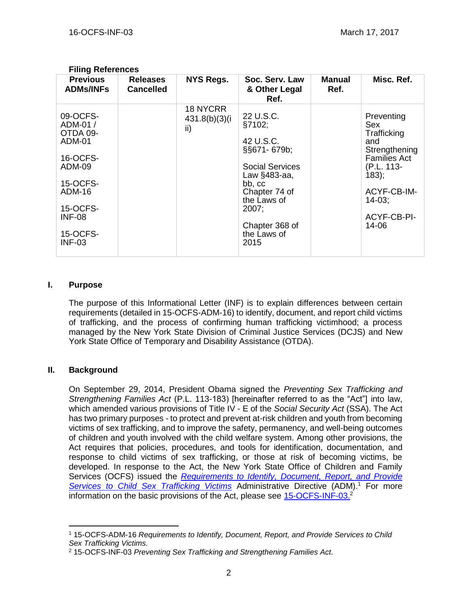| <b>Previous</b><br>Soc. Serv. Law<br><b>Manual</b><br><b>Releases</b><br>NYS Regs.<br><b>ADMs/INFs</b><br><b>Cancelled</b><br>Ref.<br>& Other Legal<br>Ref.<br>18 NYCRR<br>09-OCFS-<br>22 U.S.C.<br>Preventing<br>431.8(b)(3)(i)<br>ADM-01 /<br>§7102;<br>Sex<br>ii)<br>OTDA 09-<br>Trafficking<br>42 U.S.C.<br>ADM-01<br>and<br>§§671-679b;<br>16-OCFS-<br>ADM-09<br><b>Social Services</b><br>(P.L. 113-<br>$183$ ;<br>Law §483-aa,<br>15-OCFS-<br>bb, cc<br><b>ADM-16</b><br>Chapter 74 of<br>the Laws of<br>$14-03:$<br>15-OCFS-<br>2007;<br><b>INF-08</b> | L IIIIIY IVEIGIGIILGS |  |                |                                                                             |
|----------------------------------------------------------------------------------------------------------------------------------------------------------------------------------------------------------------------------------------------------------------------------------------------------------------------------------------------------------------------------------------------------------------------------------------------------------------------------------------------------------------------------------------------------------------|-----------------------|--|----------------|-----------------------------------------------------------------------------|
|                                                                                                                                                                                                                                                                                                                                                                                                                                                                                                                                                                |                       |  |                | Misc. Ref.                                                                  |
| 15-OCFS-<br>the Laws of<br><b>INF-03</b><br>2015                                                                                                                                                                                                                                                                                                                                                                                                                                                                                                               |                       |  | Chapter 368 of | Strengthening<br><b>Families Act</b><br>ACYF-CB-IM-<br>ACYF-CB-PI-<br>14-06 |

#### **Filing References**

### **I. Purpose**

The purpose of this Informational Letter (INF) is to explain differences between certain requirements (detailed in 15-OCFS-ADM-16) to identify, document, and report child victims of trafficking, and the process of confirming human trafficking victimhood; a process managed by the New York State Division of Criminal Justice Services (DCJS) and New York State Office of Temporary and Disability Assistance (OTDA).

## **II. Background**

 $\overline{a}$ 

On September 29, 2014, President Obama signed the *Preventing Sex Trafficking and Strengthening Families Act* (P.L. 113-183) [hereinafter referred to as the "Act"] into law, which amended various provisions of Title IV - E of the *Social Security Act* (SSA). The Act has two primary purposes - to protect and prevent at-risk children and youth from becoming victims of sex trafficking, and to improve the safety, permanency, and well-being outcomes of children and youth involved with the child welfare system. Among other provisions, the Act requires that policies, procedures, and tools for identification, documentation, and response to child victims of sex trafficking, or those at risk of becoming victims, be developed. In response to the Act, the New York State Office of Children and Family Services (OCFS) issued the *[Requirements to Identify, Document, Report, and Provide](http://www.google.com/url?sa=t&rct=j&q=&esrc=s&source=web&cd=1&cad=rja&uact=8&ved=0ahUKEwiwlY-r0p3NAhWKWywKHbXuCXsQFggeMAA&url=http%3A%2F%2Focfs.ny.gov%2Fmain%2Fpolicies%2Fexternal%2FOCFS_2015%2FADMs%2F15-OCFS-ADM-16%2520%2520Requirements%2520to%2520Identify%2C%2520Document%2C%2520Report%2C%2520and%2520Provide%2520Services%2520to%2520Child%2520Sex%2520Trafficking%2520Victims.pdf&usg=AFQjCNFaZ8OVFDbuoBu6naxOBK_mxbTpOg)*  [Services to Child Sex Trafficking Victims](http://www.google.com/url?sa=t&rct=j&q=&esrc=s&source=web&cd=1&cad=rja&uact=8&ved=0ahUKEwiwlY-r0p3NAhWKWywKHbXuCXsQFggeMAA&url=http%3A%2F%2Focfs.ny.gov%2Fmain%2Fpolicies%2Fexternal%2FOCFS_2015%2FADMs%2F15-OCFS-ADM-16%2520%2520Requirements%2520to%2520Identify%2C%2520Document%2C%2520Report%2C%2520and%2520Provide%2520Services%2520to%2520Child%2520Sex%2520Trafficking%2520Victims.pdf&usg=AFQjCNFaZ8OVFDbuoBu6naxOBK_mxbTpOg) Administrative Directive (ADM).<sup>1</sup> For more information on the basic provisions of the Act, please see **15-OCFS-INF-03.**<sup>2</sup>

<sup>1</sup> 15-OCFS-ADM-16 *Requirements to Identify, Document, Report, and Provide Services to Child Sex Trafficking Victims.*

<sup>2</sup> 15-OCFS-INF-03 *Preventing Sex Trafficking and Strengthening Families Act.*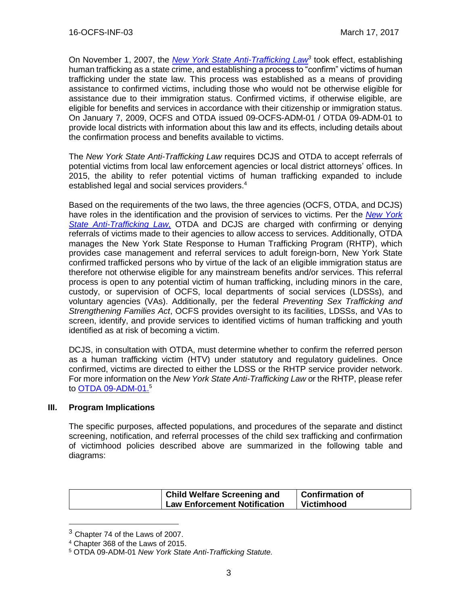On November 1, 2007, the *New [York State Anti-Trafficking Law](https://otda.ny.gov/policy/directives/2009/ADM/09-ADM-01.pdf)<sup>3</sup>* took effect, establishing human trafficking as a state crime, and establishing a process to "confirm" victims of human trafficking under the state law. This process was established as a means of providing assistance to confirmed victims, including those who would not be otherwise eligible for assistance due to their immigration status. Confirmed victims, if otherwise eligible, are eligible for benefits and services in accordance with their citizenship or immigration status. On January 7, 2009, OCFS and OTDA issued 09-OCFS-ADM-01 / OTDA 09-ADM-01 to provide local districts with information about this law and its effects, including details about the confirmation process and benefits available to victims.

The *New York State Anti-Trafficking Law* requires DCJS and OTDA to accept referrals of potential victims from local law enforcement agencies or local district attorneys' offices. In 2015, the ability to refer potential victims of human trafficking expanded to include established legal and social services providers. 4

Based on the requirements of the two laws, the three agencies (OCFS, OTDA, and DCJS) have roles in the identification and the provision of services to victims. Per the *[New York](https://otda.ny.gov/policy/directives/2009/ADM/09-ADM-01.pdf)  [State Anti-Trafficking Law,](https://otda.ny.gov/policy/directives/2009/ADM/09-ADM-01.pdf)* OTDA and DCJS are charged with confirming or denying referrals of victims made to their agencies to allow access to services. Additionally, OTDA manages the New York State Response to Human Trafficking Program (RHTP), which provides case management and referral services to adult foreign-born, New York State confirmed trafficked persons who by virtue of the lack of an eligible immigration status are therefore not otherwise eligible for any mainstream benefits and/or services. This referral process is open to any potential victim of human trafficking, including minors in the care, custody, or supervision of OCFS, local departments of social services (LDSSs), and voluntary agencies (VAs). Additionally, per the federal *Preventing Sex Trafficking and Strengthening Families Act*, OCFS provides oversight to its facilities, LDSSs, and VAs to screen, identify, and provide services to identified victims of human trafficking and youth identified as at risk of becoming a victim.

DCJS, in consultation with OTDA, must determine whether to confirm the referred person as a human trafficking victim (HTV) under statutory and regulatory guidelines. Once confirmed, victims are directed to either the LDSS or the RHTP service provider network. For more information on the *New York State Anti-Trafficking Law* or the RHTP, please refer to <u>OTDA 09-ADM-01.</u><sup>5</sup>

## **III. Program Implications**

 $\overline{a}$ 

The specific purposes, affected populations, and procedures of the separate and distinct screening, notification, and referral processes of the child sex trafficking and confirmation of victimhood policies described above are summarized in the following table and diagrams:

| <b>Child Welfare Screening and</b>  | Confirmation of |
|-------------------------------------|-----------------|
| <b>Law Enforcement Notification</b> | Victimhood      |

<sup>3</sup> Chapter 74 of the Laws of 2007.

<sup>4</sup> Chapter 368 of the Laws of 2015.

<sup>5</sup> OTDA 09-ADM-01 *New York State Anti-Trafficking Statute.*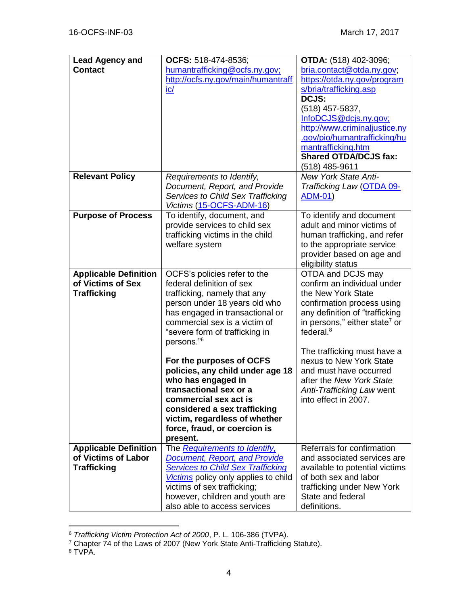| <b>Lead Agency and</b>                  | OCFS: 518-474-8536;                                           | <b>OTDA:</b> (518) 402-3096;                       |
|-----------------------------------------|---------------------------------------------------------------|----------------------------------------------------|
| <b>Contact</b>                          | humantrafficking@ocfs.ny.gov;                                 | bria.contact@otda.ny.gov;                          |
|                                         | http://ocfs.ny.gov/main/humantraff                            | https://otda.ny.gov/program                        |
|                                         | $i$ c $/$                                                     | s/bria/trafficking.asp                             |
|                                         |                                                               | DCJS:                                              |
|                                         |                                                               | (518) 457-5837,                                    |
|                                         |                                                               | InfoDCJS@dcjs.ny.gov;                              |
|                                         |                                                               | http://www.criminaljustice.ny                      |
|                                         |                                                               | .gov/pio/humantrafficking/hu                       |
|                                         |                                                               | mantrafficking.htm<br><b>Shared OTDA/DCJS fax:</b> |
|                                         |                                                               | (518) 485-9611                                     |
| <b>Relevant Policy</b>                  | Requirements to Identify,                                     | <b>New York State Anti-</b>                        |
|                                         | Document, Report, and Provide                                 | Trafficking Law (OTDA 09-                          |
|                                         | <b>Services to Child Sex Trafficking</b>                      | <u>ADM-01)</u>                                     |
|                                         | Victims (15-OCFS-ADM-16)                                      |                                                    |
| <b>Purpose of Process</b>               | To identify, document, and                                    | To identify and document                           |
|                                         | provide services to child sex                                 | adult and minor victims of                         |
|                                         | trafficking victims in the child                              | human trafficking, and refer                       |
|                                         | welfare system                                                | to the appropriate service                         |
|                                         |                                                               | provider based on age and                          |
|                                         |                                                               | eligibility status                                 |
| <b>Applicable Definition</b>            | OCFS's policies refer to the                                  | OTDA and DCJS may                                  |
| of Victims of Sex<br><b>Trafficking</b> | federal definition of sex                                     | confirm an individual under<br>the New York State  |
|                                         | trafficking, namely that any<br>person under 18 years old who | confirmation process using                         |
|                                         | has engaged in transactional or                               | any definition of "trafficking                     |
|                                         | commercial sex is a victim of                                 | in persons," either state <sup>7</sup> or          |
|                                         | "severe form of trafficking in                                | federal. $8$                                       |
|                                         | persons." <sup>6</sup>                                        |                                                    |
|                                         |                                                               | The trafficking must have a                        |
|                                         | For the purposes of OCFS                                      | nexus to New York State                            |
|                                         | policies, any child under age 18                              | and must have occurred                             |
|                                         | who has engaged in                                            | after the New York State                           |
|                                         | transactional sex or a                                        | Anti-Trafficking Law went                          |
|                                         | commercial sex act is                                         | into effect in 2007.                               |
|                                         | considered a sex trafficking<br>victim, regardless of whether |                                                    |
|                                         | force, fraud, or coercion is                                  |                                                    |
|                                         | present.                                                      |                                                    |
| <b>Applicable Definition</b>            | The Requirements to Identify,                                 | Referrals for confirmation                         |
| of Victims of Labor                     | <b>Document, Report, and Provide</b>                          | and associated services are                        |
| <b>Trafficking</b>                      | <b>Services to Child Sex Trafficking</b>                      | available to potential victims                     |
|                                         | Victims policy only applies to child                          | of both sex and labor                              |
|                                         | victims of sex trafficking;                                   | trafficking under New York                         |
|                                         | however, children and youth are                               | State and federal                                  |
|                                         | also able to access services                                  | definitions.                                       |

<sup>6</sup> *Trafficking Victim Protection Act of 2000*, P. L. 106-386 (TVPA).

 $\overline{a}$ 

<sup>&</sup>lt;sup>7</sup> Chapter 74 of the Laws of 2007 (New York State Anti-Trafficking Statute).

<sup>8</sup> TVPA.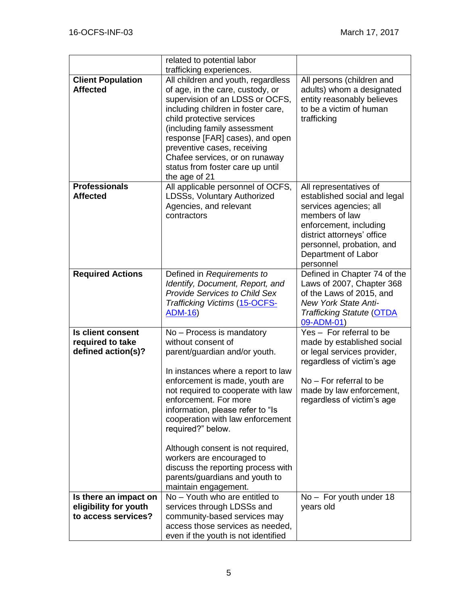|                                                                       | related to potential labor<br>trafficking experiences.                                                                                                                                                                                                                                                                                                                                                                                                                                 |                                                                                                                                                                                                                             |
|-----------------------------------------------------------------------|----------------------------------------------------------------------------------------------------------------------------------------------------------------------------------------------------------------------------------------------------------------------------------------------------------------------------------------------------------------------------------------------------------------------------------------------------------------------------------------|-----------------------------------------------------------------------------------------------------------------------------------------------------------------------------------------------------------------------------|
| <b>Client Population</b><br><b>Affected</b>                           | All children and youth, regardless<br>of age, in the care, custody, or<br>supervision of an LDSS or OCFS,<br>including children in foster care,<br>child protective services<br>(including family assessment<br>response [FAR] cases), and open<br>preventive cases, receiving<br>Chafee services, or on runaway<br>status from foster care up until<br>the age of 21                                                                                                                  | All persons (children and<br>adults) whom a designated<br>entity reasonably believes<br>to be a victim of human<br>trafficking                                                                                              |
| <b>Professionals</b><br><b>Affected</b>                               | All applicable personnel of OCFS,<br>LDSSs, Voluntary Authorized<br>Agencies, and relevant<br>contractors                                                                                                                                                                                                                                                                                                                                                                              | All representatives of<br>established social and legal<br>services agencies; all<br>members of law<br>enforcement, including<br>district attorneys' office<br>personnel, probation, and<br>Department of Labor<br>personnel |
| <b>Required Actions</b>                                               | Defined in Requirements to<br>Identify, Document, Report, and<br><b>Provide Services to Child Sex</b><br><b>Trafficking Victims (15-OCFS-</b><br><b>ADM-16)</b>                                                                                                                                                                                                                                                                                                                        | Defined in Chapter 74 of the<br>Laws of 2007, Chapter 368<br>of the Laws of 2015, and<br><b>New York State Anti-</b><br><b>Trafficking Statute (OTDA</b><br>09-ADM-01)                                                      |
| <b>Is client consent</b><br>required to take<br>defined action(s)?    | No - Process is mandatory<br>without consent of<br>parent/guardian and/or youth.<br>In instances where a report to law<br>enforcement is made, youth are<br>not required to cooperate with law<br>enforcement. For more<br>information, please refer to "Is<br>cooperation with law enforcement<br>required?" below.<br>Although consent is not required,<br>workers are encouraged to<br>discuss the reporting process with<br>parents/guardians and youth to<br>maintain engagement. | Yes - For referral to be<br>made by established social<br>or legal services provider,<br>regardless of victim's age<br>No - For referral to be<br>made by law enforcement,<br>regardless of victim's age                    |
| Is there an impact on<br>eligibility for youth<br>to access services? | $No - Youth$ who are entitled to<br>services through LDSSs and<br>community-based services may<br>access those services as needed,<br>even if the youth is not identified                                                                                                                                                                                                                                                                                                              | No - For youth under 18<br>years old                                                                                                                                                                                        |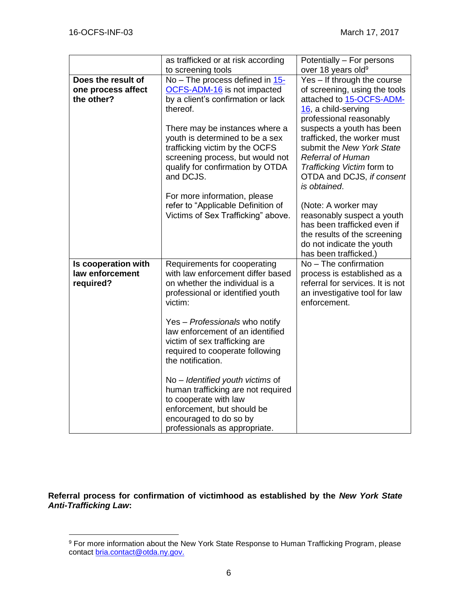$\overline{a}$ 

|                     | as trafficked or at risk according                      | Potentially - For persons                                 |
|---------------------|---------------------------------------------------------|-----------------------------------------------------------|
|                     | to screening tools                                      | over 18 years old <sup>9</sup>                            |
| Does the result of  | No – The process defined in $15$ -                      | Yes - If through the course                               |
| one process affect  | <b>OCFS-ADM-16</b> is not impacted                      | of screening, using the tools                             |
| the other?          | by a client's confirmation or lack                      | attached to 15-OCFS-ADM-                                  |
|                     | thereof.                                                | 16, a child-serving                                       |
|                     |                                                         | professional reasonably                                   |
|                     | There may be instances where a                          | suspects a youth has been                                 |
|                     | youth is determined to be a sex                         | trafficked, the worker must                               |
|                     | trafficking victim by the OCFS                          | submit the New York State                                 |
|                     | screening process, but would not                        | <b>Referral of Human</b>                                  |
|                     | qualify for confirmation by OTDA                        | Trafficking Victim form to                                |
|                     | and DCJS.                                               | OTDA and DCJS, if consent                                 |
|                     |                                                         | is obtained.                                              |
|                     | For more information, please                            |                                                           |
|                     | refer to "Applicable Definition of                      | (Note: A worker may                                       |
|                     | Victims of Sex Trafficking" above.                      | reasonably suspect a youth<br>has been trafficked even if |
|                     |                                                         | the results of the screening                              |
|                     |                                                         | do not indicate the youth                                 |
|                     |                                                         | has been trafficked.)                                     |
| Is cooperation with | Requirements for cooperating                            | No - The confirmation                                     |
| law enforcement     | with law enforcement differ based                       | process is established as a                               |
| required?           | on whether the individual is a                          | referral for services. It is not                          |
|                     | professional or identified youth                        | an investigative tool for law                             |
|                     | victim:                                                 | enforcement.                                              |
|                     |                                                         |                                                           |
|                     | Yes - Professionals who notify                          |                                                           |
|                     | law enforcement of an identified                        |                                                           |
|                     | victim of sex trafficking are                           |                                                           |
|                     | required to cooperate following                         |                                                           |
|                     | the notification.                                       |                                                           |
|                     |                                                         |                                                           |
|                     | No – Identified youth victims of                        |                                                           |
|                     | human trafficking are not required                      |                                                           |
|                     | to cooperate with law                                   |                                                           |
|                     | enforcement, but should be                              |                                                           |
|                     | encouraged to do so by<br>professionals as appropriate. |                                                           |
|                     |                                                         |                                                           |

**Referral process for confirmation of victimhood as established by the** *New York State Anti-Trafficking Law***:**

<sup>&</sup>lt;sup>9</sup> For more information about the New York State Response to Human Trafficking Program, please contact [bria.contact@otda.ny.gov.](mailto:bria.contact@otda.ny.gov)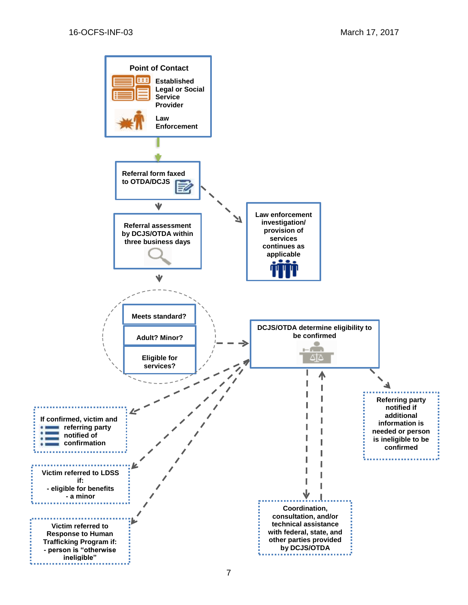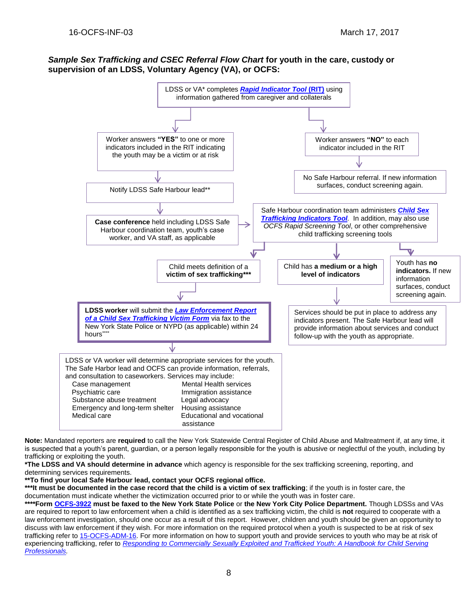#### *Sample Sex Trafficking and CSEC Referral Flow Chart* **for youth in the care, custody or supervision of an LDSS, Voluntary Agency (VA), or OCFS:**



**Note:** Mandated reporters are **required** to call the New York Statewide Central Register of Child Abuse and Maltreatment if, at any time, it is suspected that a youth's parent, guardian, or a person legally responsible for the youth is abusive or neglectful of the youth, including by trafficking or exploiting the youth.

**\*The LDSS and VA should determine in advance** which agency is responsible for the sex trafficking screening, reporting, and determining services requirements.

**\*\*To find your local Safe Harbour lead, contact your OCFS regional office.**

\*\*\*It must be documented in the case record that the child is a victim of sex trafficking; if the youth is in foster care, the documentation must indicate whether the victimization occurred prior to or while the youth was in foster care.

**\*\*\*\*Form [OCFS-3922](http://ocfs.ny.gov/main/Forms/Foster_Care/OCFS-3922%20Law%20Enforcement%20Report%20of%20a%20Child%20Sex%20Trafficking%20Victim.dot) must be faxed to the New York State Police** or **the New York City Police Department.** Though LDSSs and VAs are required to report to law enforcement when a child is identified as a sex trafficking victim, the child is **not** required to cooperate with a law enforcement investigation, should one occur as a result of this report. However, children and youth should be given an opportunity to discuss with law enforcement if they wish. For more information on the required protocol when a youth is suspected to be at risk of sex trafficking refer to [15-OCFS-ADM-16.](http://ocfs.ny.gov/main/policies/external/OCFS_2015/ADMs/15-OCFS-ADM-16%20%20Requirements%20to%20Identify,%20Document,%20Report,%20and%20Provide%20Services%20to%20Child%20Sex%20Trafficking%20Victims.pdf) For more information on how to support youth and provide services to youth who may be at risk of experiencing trafficking, refer to *Responding [to Commercially Sexually Exploited and Trafficked Youth: A Handbook for Child Serving](http://ocfs.ny.gov/main/humantrafficking/resources/OCFS-Handbook-for-Office-print.pdf)  [Professionals.](http://ocfs.ny.gov/main/humantrafficking/resources/OCFS-Handbook-for-Office-print.pdf)*